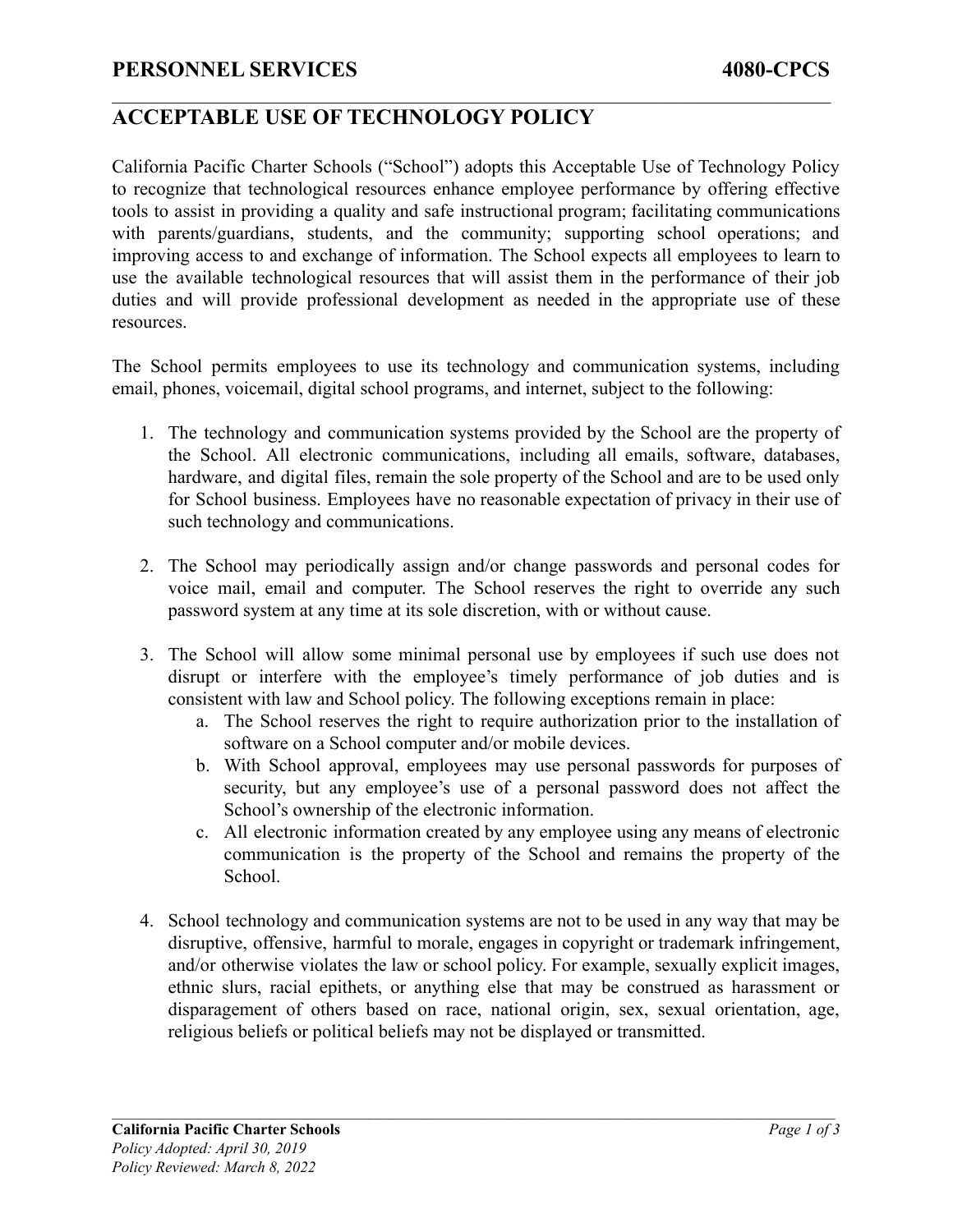# **ACCEPTABLE USE OF TECHNOLOGY POLICY**

California Pacific Charter Schools ("School") adopts this Acceptable Use of Technology Policy to recognize that technological resources enhance employee performance by offering effective tools to assist in providing a quality and safe instructional program; facilitating communications with parents/guardians, students, and the community; supporting school operations; and improving access to and exchange of information. The School expects all employees to learn to use the available technological resources that will assist them in the performance of their job duties and will provide professional development as needed in the appropriate use of these resources.

 $\mathcal{L}_\mathcal{L} = \{ \mathcal{L}_\mathcal{L} = \{ \mathcal{L}_\mathcal{L} = \{ \mathcal{L}_\mathcal{L} = \{ \mathcal{L}_\mathcal{L} = \{ \mathcal{L}_\mathcal{L} = \{ \mathcal{L}_\mathcal{L} = \{ \mathcal{L}_\mathcal{L} = \{ \mathcal{L}_\mathcal{L} = \{ \mathcal{L}_\mathcal{L} = \{ \mathcal{L}_\mathcal{L} = \{ \mathcal{L}_\mathcal{L} = \{ \mathcal{L}_\mathcal{L} = \{ \mathcal{L}_\mathcal{L} = \{ \mathcal{L}_\mathcal{$ 

The School permits employees to use its technology and communication systems, including email, phones, voicemail, digital school programs, and internet, subject to the following:

- 1. The technology and communication systems provided by the School are the property of the School. All electronic communications, including all emails, software, databases, hardware, and digital files, remain the sole property of the School and are to be used only for School business. Employees have no reasonable expectation of privacy in their use of such technology and communications.
- 2. The School may periodically assign and/or change passwords and personal codes for voice mail, email and computer. The School reserves the right to override any such password system at any time at its sole discretion, with or without cause.
- 3. The School will allow some minimal personal use by employees if such use does not disrupt or interfere with the employee's timely performance of job duties and is consistent with law and School policy. The following exceptions remain in place:
	- a. The School reserves the right to require authorization prior to the installation of software on a School computer and/or mobile devices.
	- b. With School approval, employees may use personal passwords for purposes of security, but any employee's use of a personal password does not affect the School's ownership of the electronic information.
	- c. All electronic information created by any employee using any means of electronic communication is the property of the School and remains the property of the School.
- 4. School technology and communication systems are not to be used in any way that may be disruptive, offensive, harmful to morale, engages in copyright or trademark infringement, and/or otherwise violates the law or school policy. For example, sexually explicit images, ethnic slurs, racial epithets, or anything else that may be construed as harassment or disparagement of others based on race, national origin, sex, sexual orientation, age, religious beliefs or political beliefs may not be displayed or transmitted.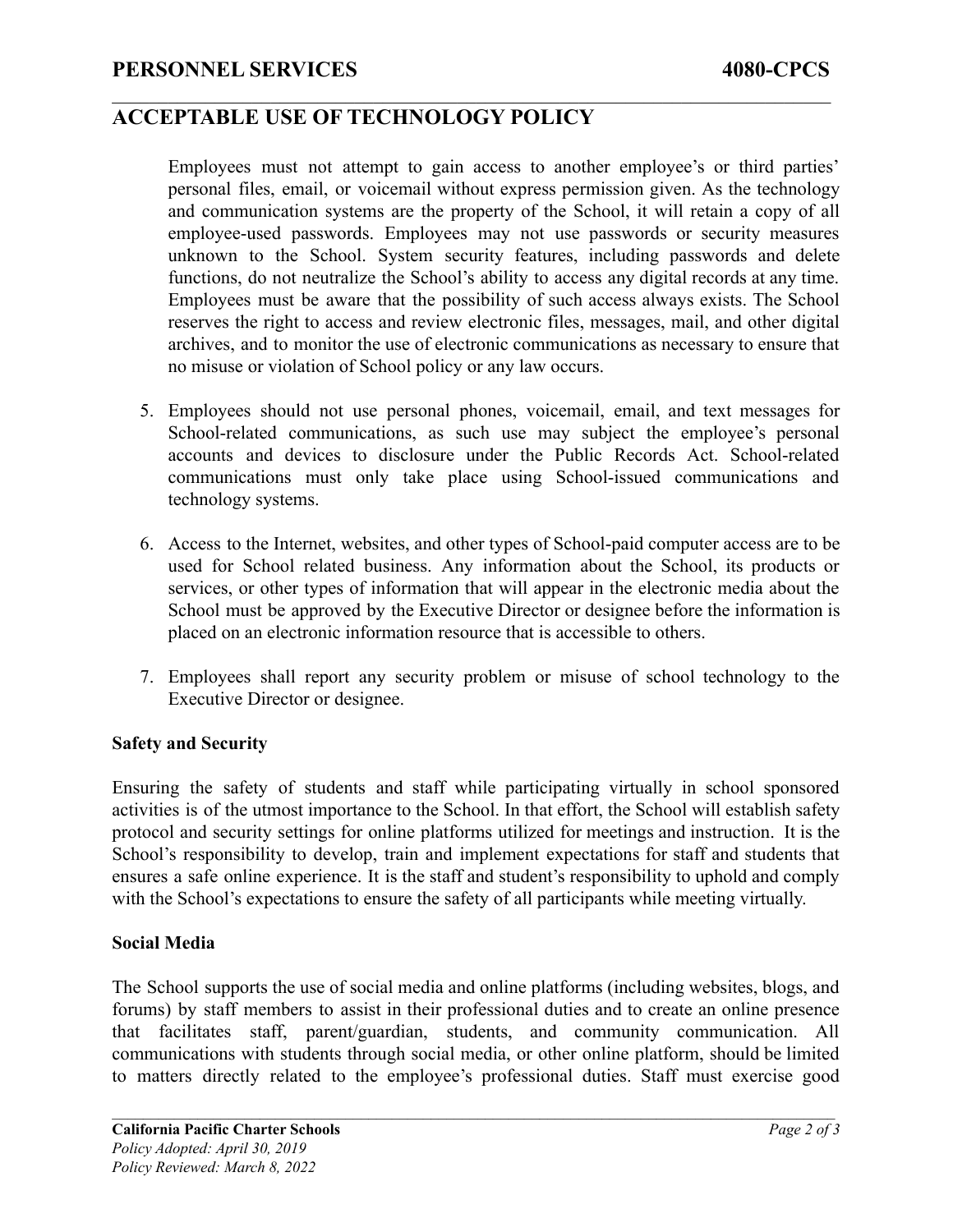### **ACCEPTABLE USE OF TECHNOLOGY POLICY**

Employees must not attempt to gain access to another employee's or third parties' personal files, email, or voicemail without express permission given. As the technology and communication systems are the property of the School, it will retain a copy of all employee-used passwords. Employees may not use passwords or security measures unknown to the School. System security features, including passwords and delete functions, do not neutralize the School's ability to access any digital records at any time. Employees must be aware that the possibility of such access always exists. The School reserves the right to access and review electronic files, messages, mail, and other digital archives, and to monitor the use of electronic communications as necessary to ensure that no misuse or violation of School policy or any law occurs.

 $\mathcal{L}_\mathcal{L} = \{ \mathcal{L}_\mathcal{L} = \{ \mathcal{L}_\mathcal{L} = \{ \mathcal{L}_\mathcal{L} = \{ \mathcal{L}_\mathcal{L} = \{ \mathcal{L}_\mathcal{L} = \{ \mathcal{L}_\mathcal{L} = \{ \mathcal{L}_\mathcal{L} = \{ \mathcal{L}_\mathcal{L} = \{ \mathcal{L}_\mathcal{L} = \{ \mathcal{L}_\mathcal{L} = \{ \mathcal{L}_\mathcal{L} = \{ \mathcal{L}_\mathcal{L} = \{ \mathcal{L}_\mathcal{L} = \{ \mathcal{L}_\mathcal{$ 

- 5. Employees should not use personal phones, voicemail, email, and text messages for School-related communications, as such use may subject the employee's personal accounts and devices to disclosure under the Public Records Act. School-related communications must only take place using School-issued communications and technology systems.
- 6. Access to the Internet, websites, and other types of School-paid computer access are to be used for School related business. Any information about the School, its products or services, or other types of information that will appear in the electronic media about the School must be approved by the Executive Director or designee before the information is placed on an electronic information resource that is accessible to others.
- 7. Employees shall report any security problem or misuse of school technology to the Executive Director or designee.

#### **Safety and Security**

Ensuring the safety of students and staff while participating virtually in school sponsored activities is of the utmost importance to the School. In that effort, the School will establish safety protocol and security settings for online platforms utilized for meetings and instruction. It is the School's responsibility to develop, train and implement expectations for staff and students that ensures a safe online experience. It is the staff and student's responsibility to uphold and comply with the School's expectations to ensure the safety of all participants while meeting virtually.

#### **Social Media**

The School supports the use of social media and online platforms (including websites, blogs, and forums) by staff members to assist in their professional duties and to create an online presence that facilitates staff, parent/guardian, students, and community communication. All communications with students through social media, or other online platform, should be limited to matters directly related to the employee's professional duties. Staff must exercise good